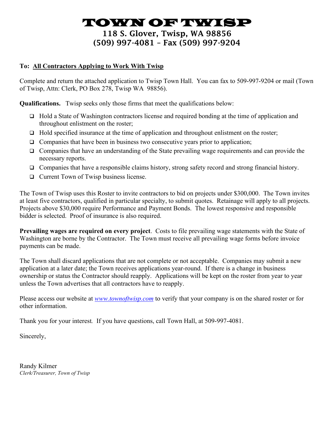# TOWN OF TWISP

# 118 S. Glover, Twisp, WA 98856 (509) 997-4081 – Fax (509) 997-9204

## **To: All Contractors Applying to Work With Twisp**

Complete and return the attached application to Twisp Town Hall. You can fax to 509-997-9204 or mail (Town of Twisp, Attn: Clerk, PO Box 278, Twisp WA 98856).

**Qualifications.** Twisp seeks only those firms that meet the qualifications below:

- Hold a State of Washington contractors license and required bonding at the time of application and throughout enlistment on the roster;
- $\Box$  Hold specified insurance at the time of application and throughout enlistment on the roster;
- $\Box$  Companies that have been in business two consecutive years prior to application;
- $\Box$  Companies that have an understanding of the State prevailing wage requirements and can provide the necessary reports.
- □ Companies that have a responsible claims history, strong safety record and strong financial history.
- **Q** Current Town of Twisp business license.

The Town of Twisp uses this Roster to invite contractors to bid on projects under \$300,000. The Town invites at least five contractors, qualified in particular specialty, to submit quotes. Retainage will apply to all projects. Projects above \$30,000 require Performance and Payment Bonds. The lowest responsive and responsible bidder is selected. Proof of insurance is also required.

**Prevailing wages are required on every project**. Costs to file prevailing wage statements with the State of Washington are borne by the Contractor. The Town must receive all prevailing wage forms before invoice payments can be made.

The Town shall discard applications that are not complete or not acceptable. Companies may submit a new application at a later date; the Town receives applications year-round. If there is a change in business ownership or status the Contractor should reapply. Applications will be kept on the roster from year to year unless the Town advertises that all contractors have to reapply.

Please access our website at *[www.townoftwisp.com](http://www.ci.lynnwood.wa.us/)* to verify that your company is on the shared roster or for other information.

Thank you for your interest*.* If you have questions, call Town Hall, at 509-997-4081.

Sincerely,

Randy Kilmer *Clerk/Treasurer, Town of Twisp*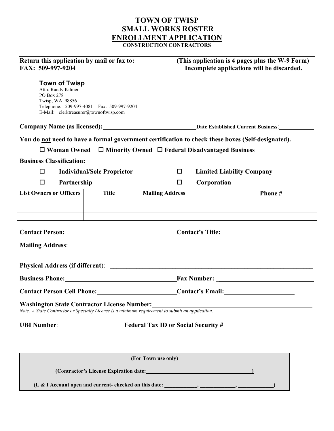## **TOWN OF TWISP SMALL WORKS ROSTER ENROLLMENT APPLICATION CONSTRUCTION CONTRACTORS**

**Return this application by mail or fax to:** (This application is 4 pages plus the W-9 Form)<br>FAX: 509-997-9204 **Incomplete applications will be discarded.** Incomplete applications will be discarded.

#### **Town of Twisp**

Attn: Randy Kilmer PO Box 278 Twisp, WA 98856 Telephone: 509-997-4081 Fax: 509-997-9204 E-Mail: clerktreasurer@townoftwisp.com

**Company Name (as licensed):** Date Established Current Business:

**You do not need to have a formal government certification to check these boxes (Self-designated).** 

**Woman Owned Minority Owned Federal Disadvantaged Business**

**Partnership Corporation**

### **Business Classification:**

**Individual/Sole Proprietor Limited Liability Company**

|                                |              | $\sim$ $\sim$ $\sim$ $\sim$ $\sim$ $\sim$ $\sim$ $\sim$ |         |
|--------------------------------|--------------|---------------------------------------------------------|---------|
| <b>List Owners or Officers</b> | <b>Title</b> | <b>Mailing Address</b>                                  | Phone # |
|                                |              |                                                         |         |
|                                |              |                                                         |         |
|                                |              |                                                         |         |

|                                                                                                                                                                                                                                                                                                                                                                                    | Contact Person: Contact of Seconds Contact of Seconds Contact of Seconds Contact of Seconds Contact of Seconds Contact of Seconds Contact of Seconds Contact of Seconds Contact of Seconds Contact of Seconds Contact of Secon |
|------------------------------------------------------------------------------------------------------------------------------------------------------------------------------------------------------------------------------------------------------------------------------------------------------------------------------------------------------------------------------------|--------------------------------------------------------------------------------------------------------------------------------------------------------------------------------------------------------------------------------|
| Mailing Address: 1988 and 2008 and 2008 and 2008 and 2008 and 2008 and 2008 and 2008 and 2008 and 2008 and 200                                                                                                                                                                                                                                                                     |                                                                                                                                                                                                                                |
|                                                                                                                                                                                                                                                                                                                                                                                    |                                                                                                                                                                                                                                |
|                                                                                                                                                                                                                                                                                                                                                                                    |                                                                                                                                                                                                                                |
| Contact Person Cell Phone: Contact's Email:                                                                                                                                                                                                                                                                                                                                        |                                                                                                                                                                                                                                |
| Washington State Contractor License Number:<br>1988 - March 2008, March 2009, March 2009, March 2009, March 2009, March 2009, March 2009, March 2009, March 2009, March 2009, March 2009, March 2009, March 2009, March 2009, Ma<br>$M_{\rm{eff}}$ of $\theta_{\rm{eff}}$ . Continuing in $\theta_{\rm{eff}}$ , $I_{\rm{eff}}$ is a minimum monitor of the intention and indicated |                                                                                                                                                                                                                                |

*Note: A State Contractor or Specialty License is a minimum requirement to submit an application.* 

**UBI Number**: **Federal Tax ID or Social Security #**

| (For Town use only)                                    |  |
|--------------------------------------------------------|--|
| (Contractor's License Expiration date:                 |  |
| (L & I Account open and current- checked on this date: |  |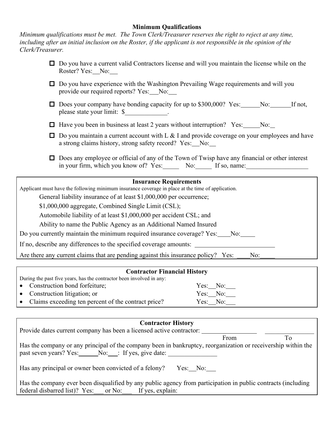### **Minimum Qualifications**

*Minimum qualifications must be met. The Town Clerk/Treasurer reserves the right to reject at any time, including after an initial inclusion on the Roster, if the applicant is not responsible in the opinion of the Clerk/Treasurer.*

- $\Box$  Do you have a current valid Contractors license and will you maintain the license while on the Roster? Yes: No:
- $\Box$  Do you have experience with the Washington Prevailing Wage requirements and will you provide our required reports? Yes: No:
- $\Box$  Does your company have bonding capacity for up to \$300,000? Yes: No: If not, please state your limit:  $\$ .

 $\Box$  Have you been in business at least 2 years without interruption? Yes: No:

- $\Box$  Do you maintain a current account with L & I and provide coverage on your employees and have a strong claims history, strong safety record? Yes: No:
- $\Box$  Does any employee or official of any of the Town of Twisp have any financial or other interest in your firm, which you know of? Yes: No: If so, name:

#### **Insurance Requirements**

Applicant must have the following minimum insurance coverage in place at the time of application.

General liability insurance of at least \$1,000,000 per occurrence;

\$1,000,000 aggregate, Combined Single Limit (CSL);

Automobile liability of at least \$1,000,000 per accident CSL; and

Ability to name the Public Agency as an Additional Named Insured

Do you currently maintain the minimum required insurance coverage? Yes: No:

If no, describe any differences to the specified coverage amounts:

Are there any current claims that are pending against this insurance policy? Yes: No:

#### **Contractor Financial History**

During the past five years, has the contractor been involved in any:

- Construction bond forfeiture; Yes: No:
- Construction litigation; or Yes: No:
- $\bullet$  Claims exceeding ten percent of the contract contract price  $\bullet$

|               | $1 \cup 2$ . $1 \vee 0$ . |  |
|---------------|---------------------------|--|
| stract price? | Yes: No:                  |  |

| <b>Contractor History</b>                                                                                                                                                |      |    |  |
|--------------------------------------------------------------------------------------------------------------------------------------------------------------------------|------|----|--|
| Provide dates current company has been a licensed active contractor:                                                                                                     |      |    |  |
|                                                                                                                                                                          | From | To |  |
| Has the company or any principal of the company been in bankruptcy, reorganization or receivership within the<br>past seven years? Yes: No: Figure 3. 18 Yes, give date: |      |    |  |
| Has any principal or owner been convicted of a felony?<br>Yes: No:                                                                                                       |      |    |  |
| Has the company ever been disqualified by any public agency from participation in public contracts (including<br>federal disbarred list)? Yes: or No: If yes, explain:   |      |    |  |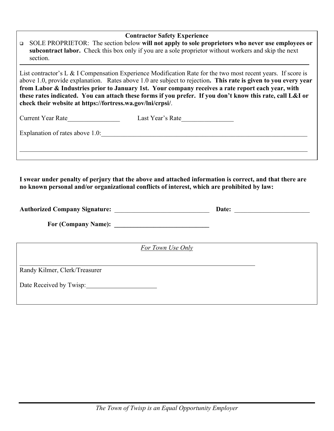|                                                                                                                                                                                                                                                                                                                                                                                                                                                                                                                | <b>Contractor Safety Experience</b>                                                                                                                                                                                   |  |
|----------------------------------------------------------------------------------------------------------------------------------------------------------------------------------------------------------------------------------------------------------------------------------------------------------------------------------------------------------------------------------------------------------------------------------------------------------------------------------------------------------------|-----------------------------------------------------------------------------------------------------------------------------------------------------------------------------------------------------------------------|--|
| $\Box$                                                                                                                                                                                                                                                                                                                                                                                                                                                                                                         | SOLE PROPRIETOR: The section below will not apply to sole proprietors who never use employees or<br>subcontract labor. Check this box only if you are a sole proprietor without workers and skip the next<br>section. |  |
| List contractor's L & I Compensation Experience Modification Rate for the two most recent years. If score is<br>above 1.0, provide explanation. Rates above 1.0 are subject to rejection. This rate is given to you every year<br>from Labor & Industries prior to January 1st. Your company receives a rate report each year, with<br>these rates indicated. You can attach these forms if you prefer. If you don't know this rate, call L&I or<br>check their website at https://fortress.wa.gov/lni/crpsi/. |                                                                                                                                                                                                                       |  |
|                                                                                                                                                                                                                                                                                                                                                                                                                                                                                                                | Current Year Rate<br>Last Year's Rate                                                                                                                                                                                 |  |
|                                                                                                                                                                                                                                                                                                                                                                                                                                                                                                                | Explanation of rates above 1.0:                                                                                                                                                                                       |  |
|                                                                                                                                                                                                                                                                                                                                                                                                                                                                                                                |                                                                                                                                                                                                                       |  |

**I swear under penalty of perjury that the above and attached information is correct, and that there are no known personal and/or organizational conflicts of interest, which are prohibited by law:**

| Authorized Company Signature: | Date:             |  |
|-------------------------------|-------------------|--|
|                               |                   |  |
|                               | For Town Use Only |  |
| Randy Kilmer, Clerk/Treasurer |                   |  |
| Date Received by Twisp:       |                   |  |